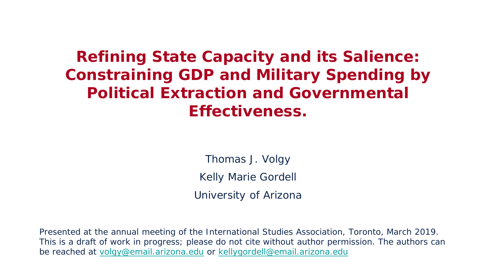# **Refining State Capacity and its Salience: Constraining GDP and Military Spending by Political Extraction and Governmental Effectiveness.**

Thomas J. Volgy Kelly Marie Gordell University of Arizona

Presented at the annual meeting of the International Studies Association, Toronto, March 2019. This is a draft of work in progress; please do not cite without author permission. The authors can be reached at [volgy@email.arizona.edu](mailto:Volgy@email.Arizona.edu) or [kellygordell@email.arizona.edu](mailto:kellygordell@email.Arizona.edu)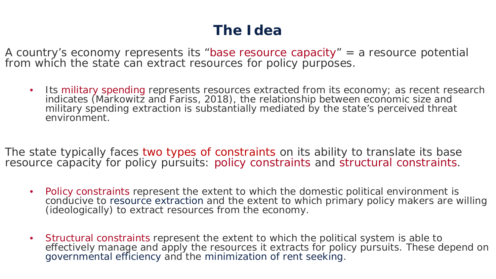# **The Idea**

A country's economy represents its "base resource capacity" = a resource potential from which the state can extract resources for policy purposes.

• Its military spending represents resources extracted from its economy; as recent research indicates (Markowitz and Fariss, 2018), the relationship between economic size and military spending extraction is substantially mediated by the state's perceived threat environment.

The state typically faces two types of constraints on its ability to translate its base resource capacity for policy pursuits: policy constraints and structural constraints.

- Policy constraints represent the extent to which the domestic political environment is conducive to resource extraction and the extent to which primary policy makers are willing (ideologically) to extract resources from the economy.
- Structural constraints represent the extent to which the political system is able to effectively manage and apply the resources it extracts for policy pursuits. These depend on governmental efficiency and the minimization of rent seeking.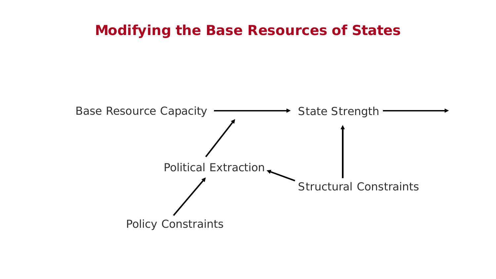#### **Modifying the Base Resources of States**

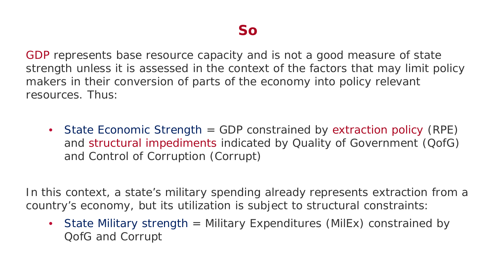GDP represents base resource capacity and is not a good measure of state strength unless it is assessed in the context of the factors that may limit policy makers in their conversion of parts of the economy into policy relevant resources. Thus:

• State Economic Strength = GDP constrained by extraction policy (*RPE*) and structural impediments indicated by Quality of Government (*QofG*) and Control of Corruption (*Corrupt*)

In this context, a state's military spending already represents extraction from a country's economy, but its utilization is subject to structural constraints:

• State Military strength = Military Expenditures (*MilEx*) constrained by QofG and Corrupt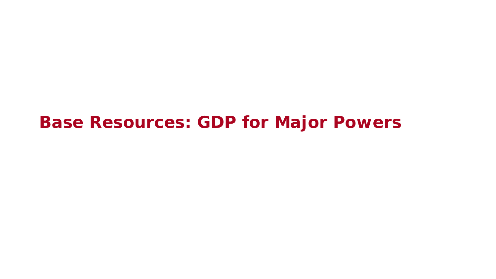**Base Resources: GDP for Major Powers**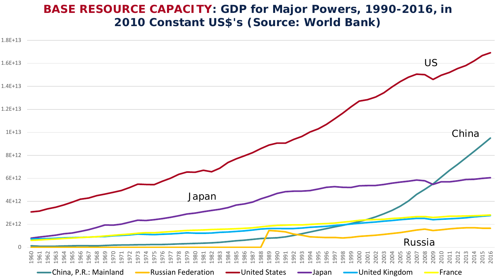#### **BASE RESOURCE CAPACITY: GDP for Major Powers, 1990-2016, in 2010 Constant US\$'s (Source: World Bank)**

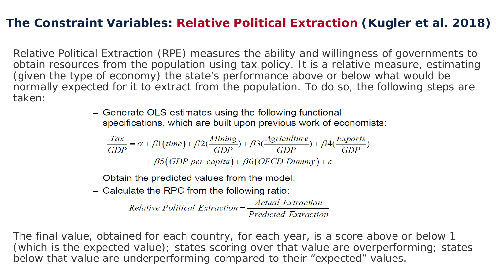#### **The Constraint Variables: Relative Political Extraction (Kugler et al. 2018)**

Relative Political Extraction (RPE) measures the ability and willingness of governments to obtain resources from the population using tax policy. It is a relative measure, estimating (given the type of economy) the state's performance above or below what would be normally expected for it to extract from the population. To do so, the following steps are taken:

> - Generate OLS estimates using the following functional specifications, which are built upon previous work of economists:

$$
\frac{Tax}{GDP} = \alpha + \beta 1 \left(\text{time}\right) + \beta 2 \left(\frac{\text{Mining}}{GDP}\right) + \beta 3 \left(\frac{\text{Agriculture}}{GDP}\right) + \beta 4 \left(\frac{\text{Exports}}{GDP}\right) + \beta 5 \left(\text{GDP } per \text{ capita}\right) + \beta 6 \left(\text{OECD } \text{Dummy}\right) + \varepsilon
$$

- Obtain the predicted values from the model.
- $-$  Calculate the RPC from the following ratio:

 $Relative Political Extraction = \frac{Actual Extraction}{Predicted Extraction}$ **Predicted Extraction** 

The final value, obtained for each country, for each year, is a score above or below 1 (which is the expected value); states scoring over that value are overperforming; states below that value are underperforming compared to their "expected" values.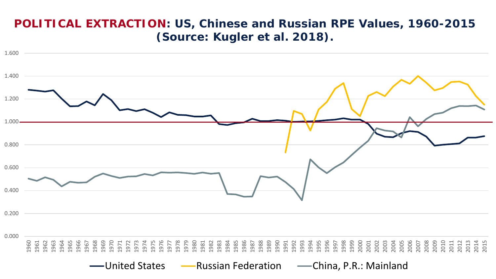#### **POLITICAL EXTRACTION: US, Chinese and Russian RPE Values, 1960-2015 (Source: Kugler et al. 2018).**

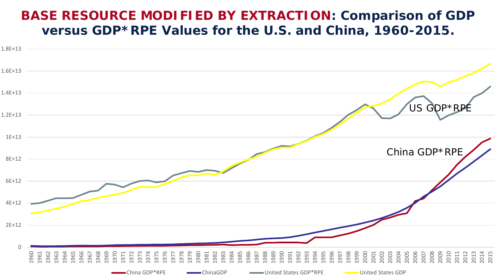#### **BASE RESOURCE MODIFIED BY EXTRACTION: Comparison of GDP versus GDP\*RPE Values for the U.S. and China, 1960-2015.**

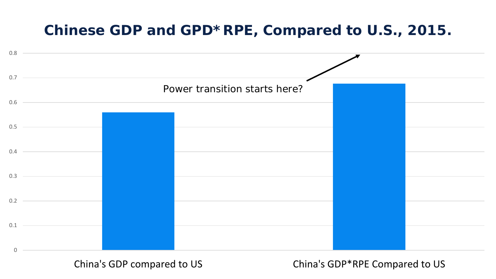### **Chinese GDP and GPD\*RPE, Compared to U.S., 2015.**



China's GDP compared to US China's GDP\*RPE Compared to US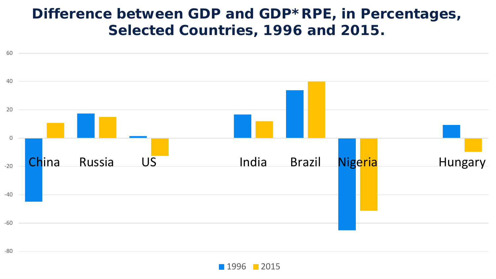### **Difference between GDP and GDP\*RPE, in Percentages, Selected Countries, 1996 and 2015.**



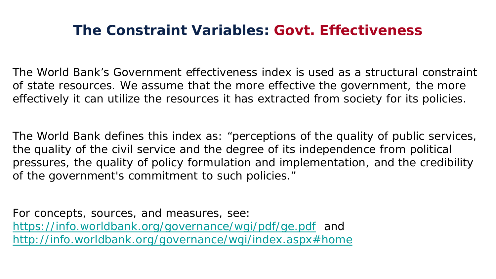### **The Constraint Variables: Govt. Effectiveness**

The World Bank's Government effectiveness index is used as a structural constraint of state resources. We assume that the more effective the government, the more effectively it can utilize the resources it has extracted from society for its policies.

The World Bank defines this index as: "perceptions of the quality of public services, the quality of the civil service and the degree of its independence from political pressures, the quality of policy formulation and implementation, and the credibility of the government's commitment to such policies."

For concepts, sources, and measures, see: <https://info.worldbank.org/governance/wgi/pdf/ge.pdf> and <http://info.worldbank.org/governance/wgi/index.aspx#home>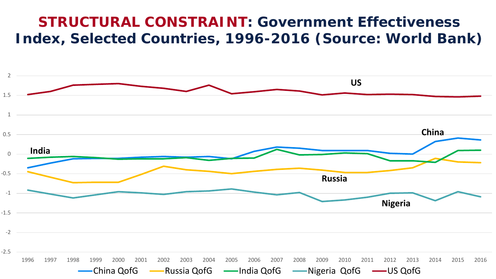### **STRUCTURAL CONSTRAINT: Government Effectiveness Index, Selected Countries, 1996-2016 (Source: World Bank)**

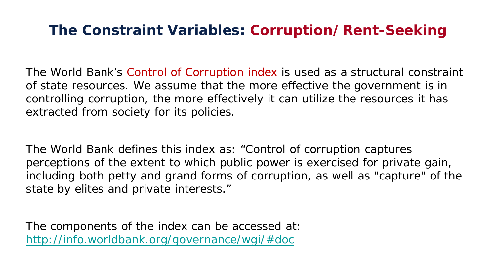### **The Constraint Variables: Corruption/Rent-Seeking**

The World Bank's Control of Corruption index is used as a structural constraint of state resources. We assume that the more effective the government is in controlling corruption, the more effectively it can utilize the resources it has extracted from society for its policies.

The World Bank defines this index as: "Control of corruption captures perceptions of the extent to which public power is exercised for private gain, including both petty and grand forms of corruption, as well as "capture" of the state by elites and private interests."

The components of the index can be accessed at: <http://info.worldbank.org/governance/wgi/#doc>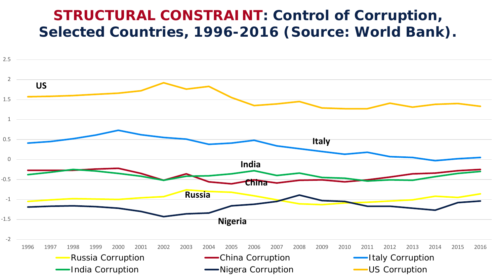### **STRUCTURAL CONSTRAINT: Control of Corruption, Selected Countries, 1996-2016 (Source: World Bank).**

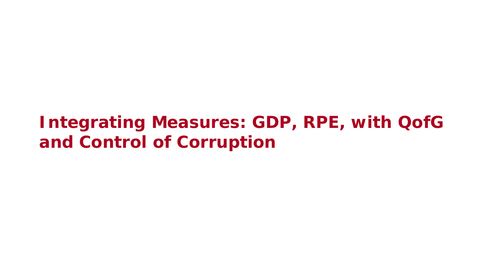# **Integrating Measures: GDP, RPE, with QofG and Control of Corruption**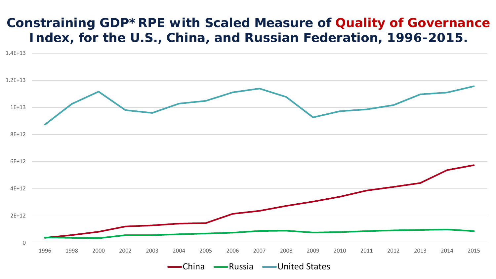#### **Constraining GDP\*RPE with Scaled Measure of Quality of Governance Index, for the U.S., China, and Russian Federation, 1996-2015.**

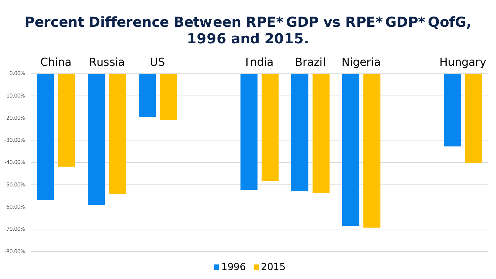# **Percent Difference Between RPE\*GDP vs RPE\*GDP\*QofG, 1996 and 2015.**



-80.00%

**1996 2015**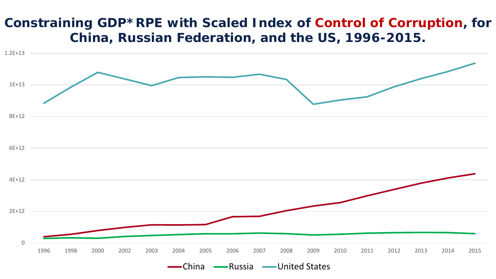#### **Constraining GDP\*RPE with Scaled Index of Control of Corruption, for China, Russian Federation, and the US, 1996-2015.**

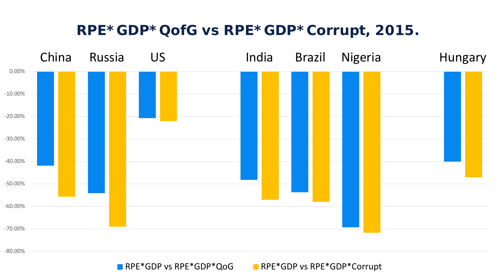### **RPE\*GDP\*QofG vs RPE\*GDP\*Corrupt, 2015.**



RPE\*GDP vs RPE\*GDP\*QoG RPE\*GDP vs RPE\*GDP\*Corrupt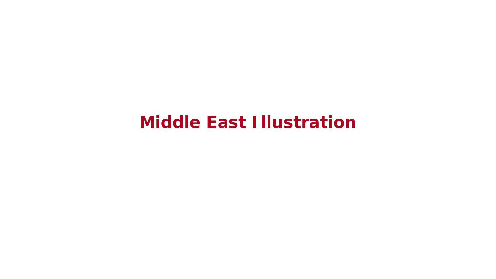# **Middle East Illustration**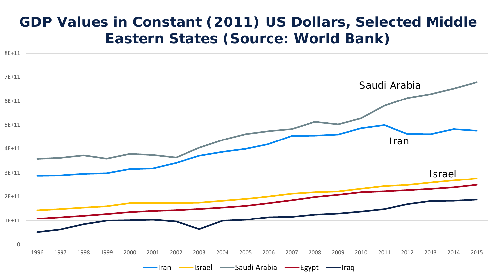### **GDP Values in Constant (2011) US Dollars, Selected Middle Eastern States (Source: World Bank)**

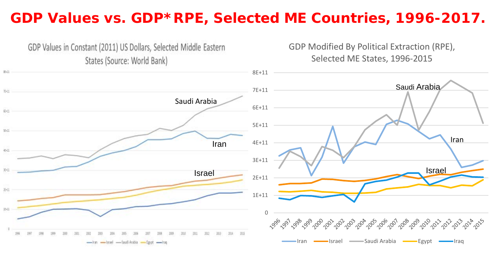### **GDP Values vs. GDP\*RPE, Selected ME Countries, 1996-2017.**

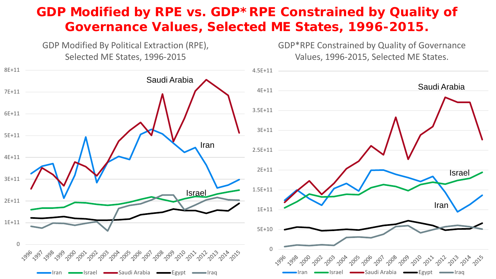#### **GDP Modified by RPE vs. GDP\*RPE Constrained by Quality of Governance Values, Selected ME States, 1996-2015.**

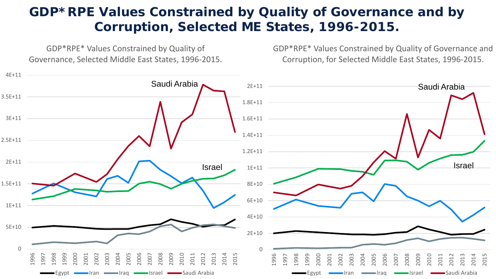#### **GDP\*RPE Values Constrained by Quality of Governance and by Corruption, Selected ME States, 1996-2015.**

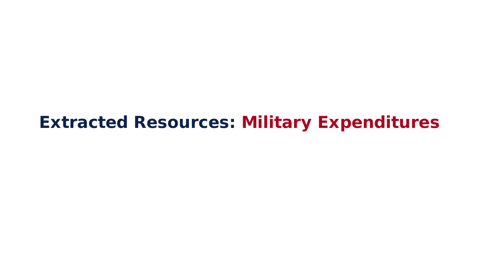# **Extracted Resources: Military Expenditures**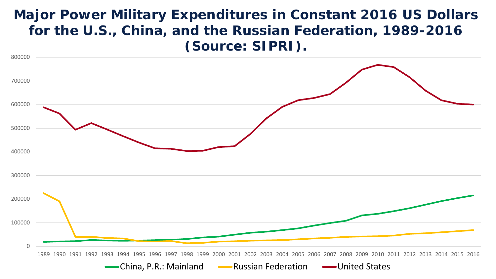#### **Major Power Military Expenditures in Constant 2016 US Dollars for the U.S., China, and the Russian Federation, 1989-2016 (Source: SIPRI).**

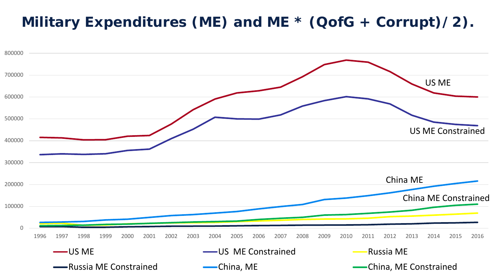## **Military Expenditures (ME) and ME \* (QofG + Corrupt)/2).**

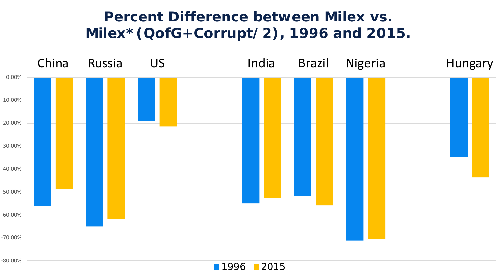## **Percent Difference between Milex vs. Milex\*(QofG+Corrupt/2), 1996 and 2015.**



-80.00%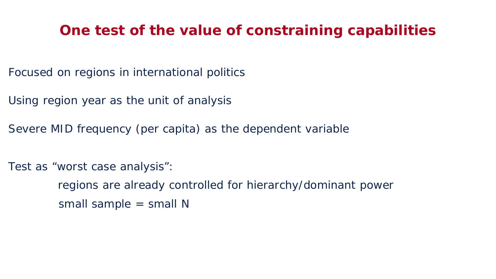#### **One test of the value of constraining capabilities**

- Focused on regions in international politics
- Using region year as the unit of analysis
- Severe MID frequency (per capita) as the dependent variable
- Test as "worst case analysis":
	- regions are already controlled for hierarchy/dominant power small sample = small N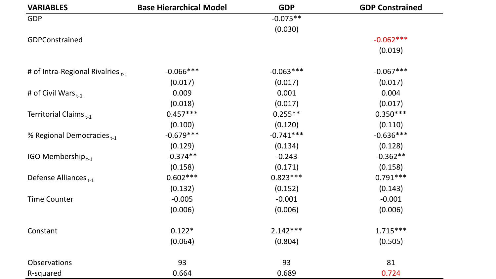| <b>VARIABLES</b>                       | <b>Base Hierarchical Model</b> | <b>GDP</b>  | <b>GDP Constrained</b> |
|----------------------------------------|--------------------------------|-------------|------------------------|
| GDP                                    |                                | $-0.075**$  |                        |
|                                        |                                | (0.030)     |                        |
| GDPConstrained                         |                                |             | $-0.062***$            |
|                                        |                                |             | (0.019)                |
| # of Intra-Regional Rivalries $_{t-1}$ | $-0.066***$                    | $-0.063***$ | $-0.067***$            |
|                                        | (0.017)                        | (0.017)     | (0.017)                |
| # of Civil Wars $_{t-1}$               | 0.009                          | 0.001       | 0.004                  |
|                                        | (0.018)                        | (0.017)     | (0.017)                |
| Territorial Claims <sub>t-1</sub>      | $0.457***$                     | $0.255**$   | $0.350***$             |
|                                        | (0.100)                        | (0.120)     | (0.110)                |
| % Regional Democracies <sub>t-1</sub>  | $-0.679***$                    | $-0.741***$ | $-0.636***$            |
|                                        | (0.129)                        | (0.134)     | (0.128)                |
| IGO Membership $_{t-1}$                | $-0.374**$                     | $-0.243$    | $-0.362**$             |
|                                        | (0.158)                        | (0.171)     | (0.158)                |
| Defense Alliances <sub>t-1</sub>       | $0.602***$                     | $0.823***$  | $0.791***$             |
|                                        | (0.132)                        | (0.152)     | (0.143)                |
| <b>Time Counter</b>                    | $-0.005$                       | $-0.001$    | $-0.001$               |
|                                        | (0.006)                        | (0.006)     | (0.006)                |
| Constant                               | $0.122*$                       | $2.142***$  | $1.715***$             |
|                                        | (0.064)                        | (0.804)     | (0.505)                |
| Observations                           | 93                             | 93          | 81                     |
| R-squared                              | 0.664                          | 0.689       | 0.724                  |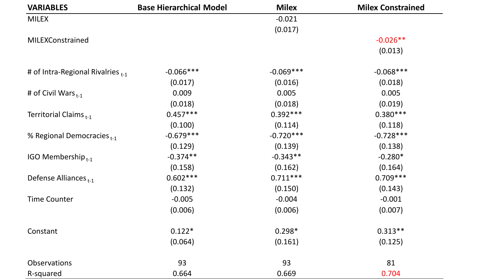| <b>VARIABLES</b>                       | <b>Base Hierarchical Model</b> | <b>Milex</b> | <b>Milex Constrained</b> |
|----------------------------------------|--------------------------------|--------------|--------------------------|
| <b>MILEX</b>                           |                                | $-0.021$     |                          |
|                                        |                                | (0.017)      |                          |
| MILEXConstrained                       |                                |              | $-0.026**$               |
|                                        |                                |              | (0.013)                  |
| # of Intra-Regional Rivalries $_{t-1}$ | $-0.066***$                    | $-0.069***$  | $-0.068***$              |
|                                        | (0.017)                        | (0.016)      | (0.018)                  |
| # of Civil Wars $_{t-1}$               | 0.009                          | 0.005        | 0.005                    |
|                                        | (0.018)                        | (0.018)      | (0.019)                  |
| Territorial Claims $_{t-1}$            | $0.457***$                     | $0.392***$   | $0.380***$               |
|                                        | (0.100)                        | (0.114)      | (0.118)                  |
| % Regional Democracies <sub>t-1</sub>  | $-0.679***$                    | $-0.720***$  | $-0.728***$              |
|                                        | (0.129)                        | (0.139)      | (0.138)                  |
| IGO Membership $_{t-1}$                | $-0.374**$                     | $-0.343**$   | $-0.280*$                |
|                                        | (0.158)                        | (0.162)      | (0.164)                  |
| Defense Alliances <sub>t-1</sub>       | $0.602***$                     | $0.711***$   | $0.709***$               |
|                                        | (0.132)                        | (0.150)      | (0.143)                  |
| <b>Time Counter</b>                    | $-0.005$                       | $-0.004$     | $-0.001$                 |
|                                        | (0.006)                        | (0.006)      | (0.007)                  |
| Constant                               | $0.122*$                       | $0.298*$     | $0.313**$                |
|                                        | (0.064)                        | (0.161)      | (0.125)                  |
| Observations                           | 93                             | 93           | 81                       |
| R-squared                              | 0.664                          | 0.669        | 0.704                    |